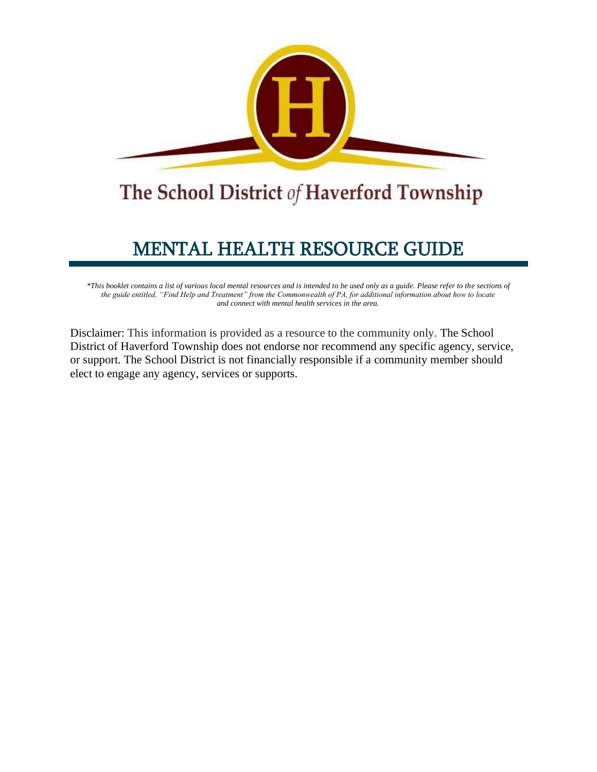

# The School District of Haverford Township

# MENTAL HEALTH RESOURCE GUIDE

*\*This booklet contains a list of various local mental resources and is intended to be used only as a guide. Please refer to the sections of the guide entitled, "Find Help and Treatment" from the Commonwealth of PA, for additional information about how to locate and connect with mental health services in the area.*

Disclaimer: This information is provided as a resource to the community only. The School District of Haverford Township does not endorse nor recommend any specific agency, service, or support. The School District is not financially responsible if a community member should elect to engage any agency, services or supports.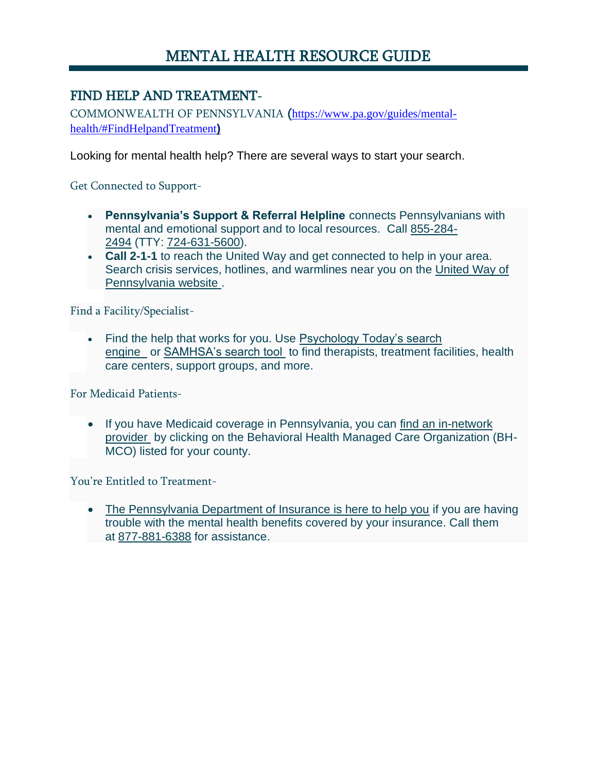# MENTAL HEALTH RESOURCE GUIDE

# FIND HELP AND TREATMENT-

COMMONWEALTH OF PENNSYLVANIA ([https://www.pa.gov/guides/mental](https://www.pa.gov/guides/mental-health/#FindHelpandTreatment)[health/#FindHelpandTreatment](https://www.pa.gov/guides/mental-health/#FindHelpandTreatment)**)**

Looking for mental health help? There are several ways to start your search.

Get Connected to Support-

- **Pennsylvania's Support & Referral Helpline** connects Pennsylvanians with mental and emotional support and to local resources. Call [855-284-](tel:855-284-2494) [2494](tel:855-284-2494) (TTY: [724-631-5600\)](tel:724-631-5600).
- **Call 2-1-1** to reach the United Way and get connected to help in your area. Search crisis services, hotlines, and warmlines near you on the [United Way of](https://www.pa211.org/get-help/crisis-services-helplines-warmline/)  [Pennsylvania website](https://www.pa211.org/get-help/crisis-services-helplines-warmline/) .

Find a Facility/Specialist-

• Find the help that works for you. Use Psychology Today's search [engine](https://www.psychologytoday.com/us) or [SAMHSA's search tool](https://findtreatment.samhsa.gov/) to find therapists, treatment facilities, health care centers, support groups, and more.

For Medicaid Patients-

• If you have Medicaid coverage in Pennsylvania, you can [find an in-network](http://www.healthchoices.pa.gov/info/about/behavioral/index.htm)  [provider](http://www.healthchoices.pa.gov/info/about/behavioral/index.htm) by clicking on the Behavioral Health Managed Care Organization (BH-MCO) listed for your county.

You're Entitled to Treatment-

• [The Pennsylvania Department of Insurance is here to help you](https://www.insurance.pa.gov/Coverage/Pages/Parity.aspx) if you are having trouble with the mental health benefits covered by your insurance. Call them at [877-881-6388](tel:877-881-6388) for assistance.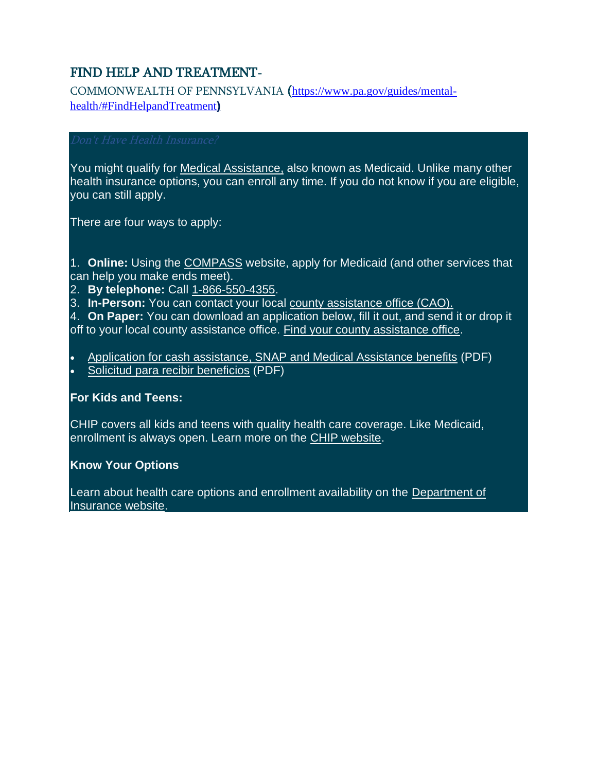# FIND HELP AND TREATMENT-

COMMONWEALTH OF PENNSYLVANIA ([https://www.pa.gov/guides/mental](https://www.pa.gov/guides/mental-health/#FindHelpandTreatment)[health/#FindHelpandTreatment](https://www.pa.gov/guides/mental-health/#FindHelpandTreatment)**)**

You might qualify for [Medical Assistance,](https://www.dhs.pa.gov/Services/Assistance/Pages/Medical-Assistance.aspx) also known as Medicaid. Unlike many other health insurance options, you can enroll any time. If you do not know if you are eligible, you can still apply.

There are four ways to apply:

1. **Online:** Using the [COMPASS](http://www.compass.state.pa.us/) website, apply for Medicaid (and other services that can help you make ends meet).

- 2. **By telephone:** Call [1-866-550-4355.](tel:1-866-550-4355)
- 3. **In-Person:** You can contact your local [county assistance office \(CAO\).](https://www.dhs.pa.gov/Services/Assistance/Pages/CAO-Contact.aspx)

4. **On Paper:** You can download an application below, fill it out, and send it or drop it off to your local county assistance office. [Find your county assistance office.](https://www.dhs.pa.gov/Services/Assistance/Pages/CAO-Contact.aspx)

• [Application for cash assistance, SNAP and Medical Assistance benefits](https://www.dhs.pa.gov/Services/Assistance/Documents/Benefits%20Applications/PA-600-2-20-Final.pdf) (PDF) • [Solicitud para recibir beneficios](https://www.dhs.pa.gov/Services/Assistance/Documents/Health%20Care%20and%20Medical%20Assistance/Solicitud%20de%20la%20cobertura%20medica.pdf) (PDF)

# **For Kids and Teens:**

CHIP covers all kids and teens with quality health care coverage. Like Medicaid, enrollment is always open. Learn more on the [CHIP website.](http://chipcoverspakids.com/)

# **Know Your Options**

Learn about health care options and enrollment availability on the Department of [Insurance website.](https://www.insurance.pa.gov/Coverage/Pages/Health-Insurance.aspx)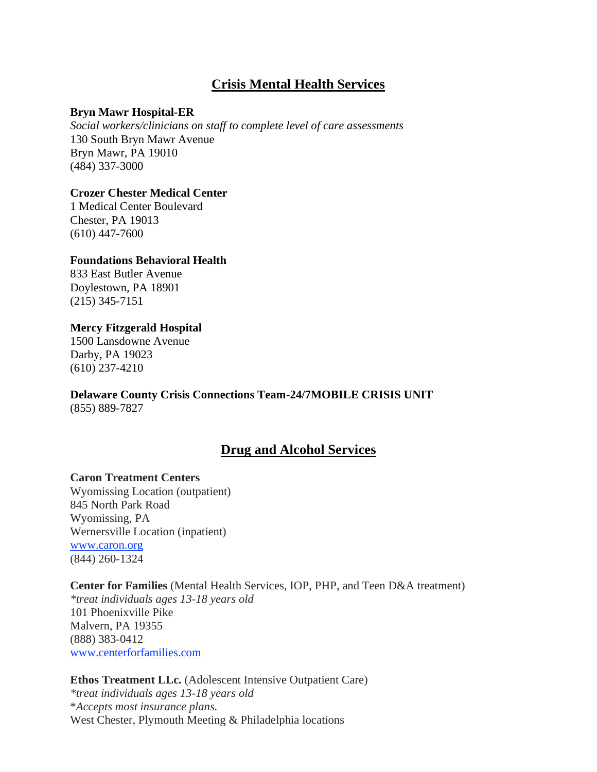# **Crisis Mental Health Services**

#### **Bryn Mawr Hospital-ER**

*Social workers/clinicians on staff to complete level of care assessments* 130 South Bryn Mawr Avenue Bryn Mawr, PA 19010 (484) 337-3000

#### **Crozer Chester Medical Center**

1 Medical Center Boulevard Chester, PA 19013 (610) 447-7600

#### **Foundations Behavioral Health**

833 East Butler Avenue Doylestown, PA 18901 (215) 345-7151

#### **Mercy Fitzgerald Hospital**

1500 Lansdowne Avenue Darby, PA 19023 (610) 237-4210

# **Delaware County Crisis Connections Team-24/7MOBILE CRISIS UNIT**

(855) 889-7827

# **Drug and Alcohol Services**

#### **Caron Treatment Centers**

Wyomissing Location (outpatient) 845 North Park Road Wyomissing, PA Wernersville Location (inpatient) [www.caron.org](http://www.caron.org/) (844) 260-1324

#### **Center for Families** (Mental Health Services, IOP, PHP, and Teen D&A treatment)

*\*treat individuals ages 13-18 years old* 101 Phoenixville Pike Malvern, PA 19355 (888) 383-0412 [www.centerforfamilies.com](http://www.centerforfamilies.com/)

#### **Ethos Treatment LLc.** (Adolescent Intensive Outpatient Care) *\*treat individuals ages 13-18 years old* \**Accepts most insurance plans.* West Chester, Plymouth Meeting & Philadelphia locations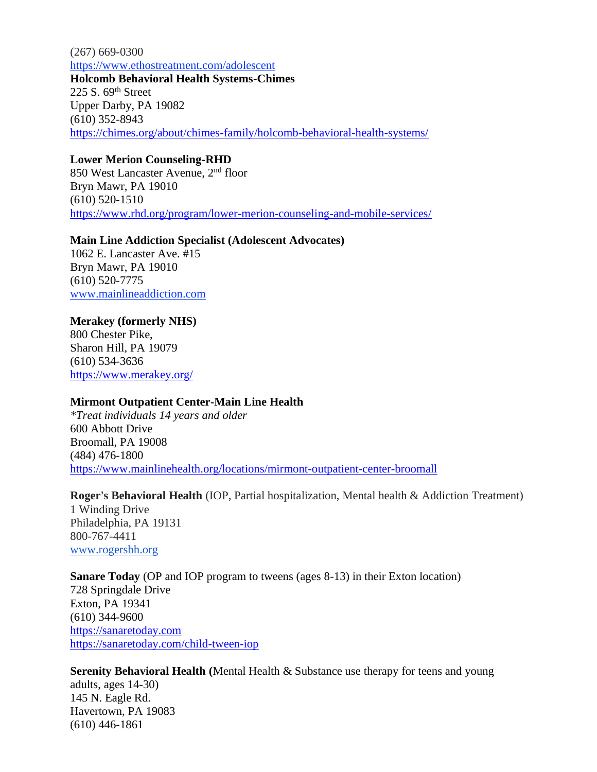(267) 669-0300 <https://www.ethostreatment.com/adolescent> **Holcomb Behavioral Health Systems-Chimes** 225 S. 69th Street Upper Darby, PA 19082 (610) 352-8943 <https://chimes.org/about/chimes-family/holcomb-behavioral-health-systems/>

#### **Lower Merion Counseling-RHD**

850 West Lancaster Avenue, 2nd floor Bryn Mawr, PA 19010 (610) 520-1510 <https://www.rhd.org/program/lower-merion-counseling-and-mobile-services/>

#### **Main Line Addiction Specialist (Adolescent Advocates)**

1062 E. Lancaster Ave. #15 Bryn Mawr, PA 19010 (610) 520-7775 [www.mainlineaddiction.com](http://www.mainlineaddiction.com/)

#### **Merakey (formerly NHS)**

800 Chester Pike, Sharon Hill, PA 19079 (610) 534-3636 <https://www.merakey.org/>

#### **Mirmont Outpatient Center-Main Line Health**

*\*Treat individuals 14 years and older* 600 Abbott Drive Broomall, PA 19008 (484) 476-1800 <https://www.mainlinehealth.org/locations/mirmont-outpatient-center-broomall>

#### **Roger's Behavioral Health** (IOP, Partial hospitalization, Mental health & Addiction Treatment)

1 Winding Drive Philadelphia, PA 19131 800-767-4411 [www.rogersbh.org](http://www.rogersbh.org/)

#### **Sanare Today** (OP and IOP program to tweens (ages 8-13) in their Exton location)

728 Springdale Drive Exton, PA 19341 (610) 344-9600 [https://sanaretoday.com](https://sanaretoday.com/) <https://sanaretoday.com/child-tween-iop>

**Serenity Behavioral Health (**Mental Health & Substance use therapy for teens and young adults, ages 14-30) 145 N. Eagle Rd. Havertown, PA 19083 (610) 446-1861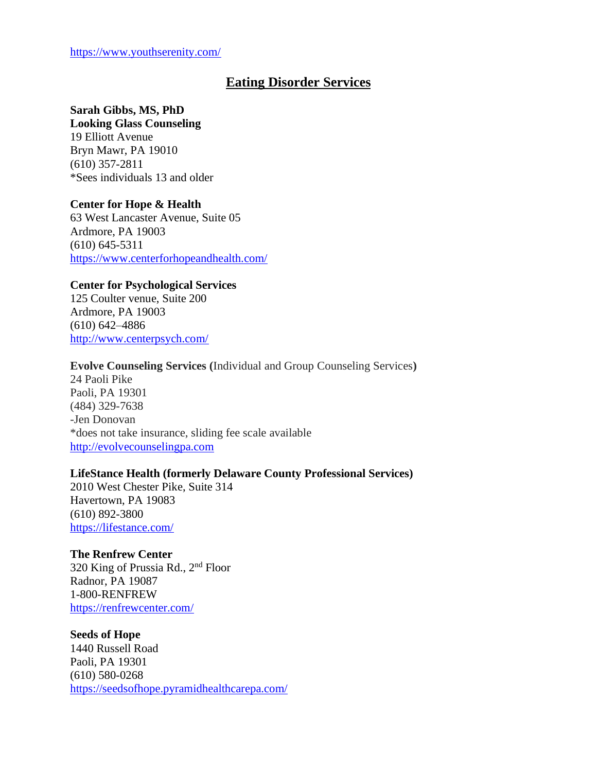# **Eating Disorder Services**

## **Sarah Gibbs, MS, PhD**

**Looking Glass Counseling** 19 Elliott Avenue Bryn Mawr, PA 19010 (610) 357-2811 \*Sees individuals 13 and older

#### **Center for Hope & Health**

63 West Lancaster Avenue, Suite 05 Ardmore, PA 19003 (610) 645-5311 <https://www.centerforhopeandhealth.com/>

#### **Center for Psychological Services**

125 Coulter venue, Suite 200 Ardmore, PA 19003 (610) 642–4886 <http://www.centerpsych.com/>

#### **Evolve Counseling Services (**Individual and Group Counseling Services**)**

24 Paoli Pike Paoli, PA 19301 (484) 329-7638 -Jen Donovan \*does not take insurance, sliding fee scale available [http://evolvecounselingpa.com](http://evolvecounselingpa.com/)

#### **LifeStance Health (formerly Delaware County Professional Services)**

2010 West Chester Pike, Suite 314 Havertown, PA 19083 (610) 892-3800 <https://lifestance.com/>

#### **The Renfrew Center**

320 King of Prussia Rd., 2nd Floor Radnor, PA 19087 1-800-RENFREW <https://renfrewcenter.com/>

#### **Seeds of Hope**

1440 Russell Road Paoli, PA 19301 (610) 580-0268 <https://seedsofhope.pyramidhealthcarepa.com/>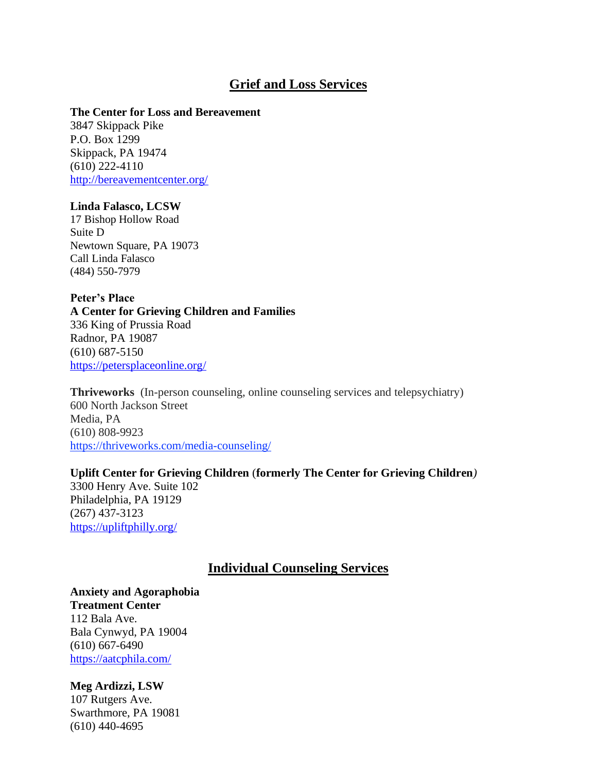# **Grief and Loss Services**

#### **The Center for Loss and Bereavement**

3847 Skippack Pike P.O. Box 1299 Skippack, PA 19474 (610) 222-4110 <http://bereavementcenter.org/>

#### **Linda Falasco, LCSW**

17 Bishop Hollow Road Suite D Newtown Square, PA 19073 Call Linda Falasco [\(484\) 550-7979](tel:+1-484-550-7979)

**Peter's Place A Center for Grieving Children and Families** 336 King of Prussia Road Radnor, PA 19087 (610) 687-5150 <https://petersplaceonline.org/>

**Thriveworks** (In-person counseling, online counseling services and telepsychiatry) 600 North Jackson Street Media, PA (610) 808-9923 <https://thriveworks.com/media-counseling/>

### **Uplift Center for Grieving Children** (**formerly The Center for Grieving Children***)*

3300 Henry Ave. Suite 102 Philadelphia, PA 19129 (267) 437-3123 <https://upliftphilly.org/>

#### **Individual Counseling Services**

#### **Anxiety and Agoraphobia Treatment Center**

112 Bala Ave. Bala Cynwyd, PA 19004 (610) 667-6490 <https://aatcphila.com/>

#### **Meg Ardizzi, LSW**

107 Rutgers Ave. Swarthmore, PA 19081 (610) 440-4695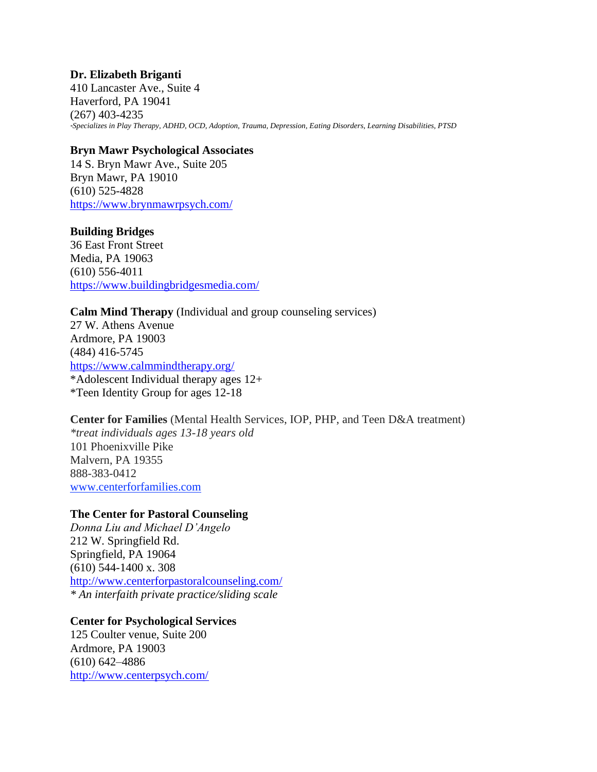#### **Dr. Elizabeth Briganti**

410 Lancaster Ave., Suite 4 Haverford, PA 19041 (267) 403-4235 *\*Specializes in Play Therapy, ADHD, OCD, Adoption, Trauma, Depression, Eating Disorders, Learning Disabilities, PTSD*

#### **Bryn Mawr Psychological Associates**

14 S. Bryn Mawr Ave., Suite 205 Bryn Mawr, PA 19010 (610) 525-4828 <https://www.brynmawrpsych.com/>

#### **Building Bridges**

36 East Front Street Media, PA 19063 (610) 556-4011 <https://www.buildingbridgesmedia.com/>

#### **Calm Mind Therapy** (Individual and group counseling services)

27 W. Athens Avenue Ardmore, PA 19003 (484) 416-5745 <https://www.calmmindtherapy.org/> \*Adolescent Individual therapy ages 12+ \*Teen Identity Group for ages 12-18

#### **Center for Families** (Mental Health Services, IOP, PHP, and Teen D&A treatment)

*\*treat individuals ages 13-18 years old* 101 Phoenixville Pike Malvern, PA 19355 888-383-0412 [www.centerforfamilies.com](http://www.centerforfamilies.com/)

#### **The Center for Pastoral Counseling**

*Donna Liu and Michael D'Angelo* 212 W. Springfield Rd. Springfield, PA 19064 (610) 544-1400 x. 308 <http://www.centerforpastoralcounseling.com/> *\* An interfaith private practice/sliding scale*

#### **Center for Psychological Services**

125 Coulter venue, Suite 200 Ardmore, PA 19003 (610) 642–4886 <http://www.centerpsych.com/>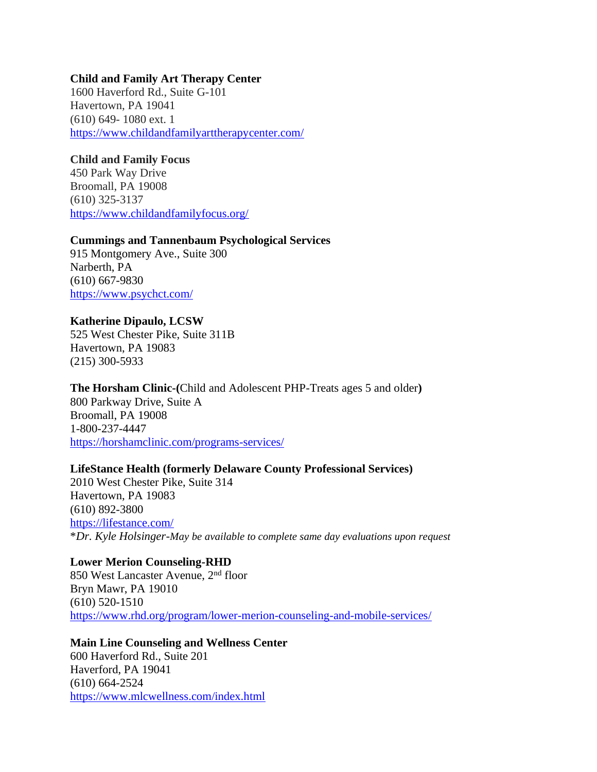#### **Child and Family Art Therapy Center**

1600 Haverford Rd., Suite G-101 Havertown, PA 19041 (610) 649- 1080 ext. 1 <https://www.childandfamilyarttherapycenter.com/>

#### **Child and Family Focus**

450 Park Way Drive Broomall, PA 19008 (610) 325-3137 <https://www.childandfamilyfocus.org/>

#### **Cummings and Tannenbaum Psychological Services**

915 Montgomery Ave., Suite 300 Narberth, PA (610) 667-9830 <https://www.psychct.com/>

#### **Katherine Dipaulo, LCSW**

525 West Chester Pike, Suite 311B Havertown, PA 19083 (215) 300-5933

#### **The Horsham Clinic-(**Child and Adolescent PHP-Treats ages 5 and older**)**

800 Parkway Drive, Suite A Broomall, PA 19008 1-800-237-4447 <https://horshamclinic.com/programs-services/>

#### **LifeStance Health (formerly Delaware County Professional Services)**

2010 West Chester Pike, Suite 314 Havertown, PA 19083 (610) 892-3800 <https://lifestance.com/> \**Dr. Kyle Holsinger-May be available to complete same day evaluations upon request*

#### **Lower Merion Counseling-RHD**

850 West Lancaster Avenue, 2nd floor Bryn Mawr, PA 19010 (610) 520-1510 <https://www.rhd.org/program/lower-merion-counseling-and-mobile-services/>

#### **Main Line Counseling and Wellness Center**

600 Haverford Rd., Suite 201 Haverford, PA 19041 (610) 664-2524 <https://www.mlcwellness.com/index.html>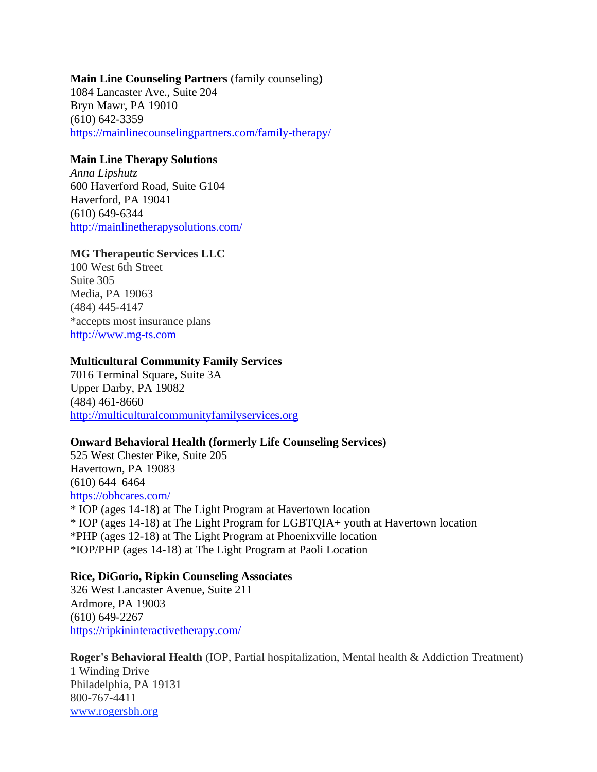#### **Main Line Counseling Partners** (family counseling**)** 1084 Lancaster Ave., Suite 204 Bryn Mawr, PA 19010 (610) 642-3359 <https://mainlinecounselingpartners.com/family-therapy/>

#### **Main Line Therapy Solutions**

*Anna Lipshutz* 600 Haverford Road, Suite G104 Haverford, PA 19041 (610) 649-6344 <http://mainlinetherapysolutions.com/>

#### **MG Therapeutic Services LLC**

100 West 6th Street Suite 305 Media, PA 19063 (484) 445-4147 \*accepts most insurance plans [http://www.mg-ts.com](http://www.mg-ts.com/)

#### **Multicultural Community Family Services**

7016 Terminal Square, Suite 3A Upper Darby, PA 19082 (484) 461-8660 [http://multiculturalcommunityfamilyservices.org](http://multiculturalcommunityfamilyservices.org/)

#### **Onward Behavioral Health (formerly Life Counseling Services)**

525 West Chester Pike, Suite 205 Havertown, PA 19083 (610) 644–6464 <https://obhcares.com/>

\* IOP (ages 14-18) at The Light Program at Havertown location \* IOP (ages 14-18) at The Light Program for LGBTQIA+ youth at Havertown location \*PHP (ages 12-18) at The Light Program at Phoenixville location \*IOP/PHP (ages 14-18) at The Light Program at Paoli Location

#### **Rice, DiGorio, Ripkin Counseling Associates**

326 West Lancaster Avenue, Suite 211 Ardmore, PA 19003 (610) 649-2267 <https://ripkininteractivetherapy.com/>

**Roger's Behavioral Health** (IOP, Partial hospitalization, Mental health & Addiction Treatment)

1 Winding Drive Philadelphia, PA 19131 800-767-4411 [www.rogersbh.org](http://www.rogersbh.org/)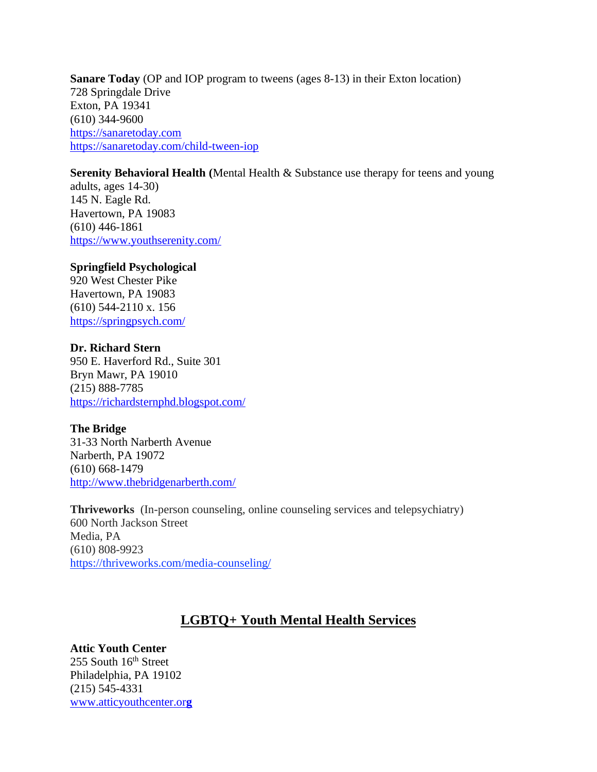**Sanare Today** (OP and IOP program to tweens (ages 8-13) in their Exton location) 728 Springdale Drive Exton, PA 19341 (610) 344-9600 [https://sanaretoday.com](https://sanaretoday.com/) <https://sanaretoday.com/child-tween-iop>

#### **Serenity Behavioral Health (**Mental Health & Substance use therapy for teens and young

adults, ages 14-30) 145 N. Eagle Rd. Havertown, PA 19083 (610) 446-1861 <https://www.youthserenity.com/>

#### **Springfield Psychological**

920 West Chester Pike Havertown, PA 19083 (610) 544-2110 x. 156 <https://springpsych.com/>

#### **Dr. Richard Stern**

950 E. Haverford Rd., Suite 301 Bryn Mawr, PA 19010 (215) 888-7785 <https://richardsternphd.blogspot.com/>

#### **The Bridge**

31-33 North Narberth Avenue Narberth, PA 19072 (610) 668-1479 <http://www.thebridgenarberth.com/>

**Thriveworks** (In-person counseling, online counseling services and telepsychiatry) 600 North Jackson Street Media, PA (610) 808-9923 <https://thriveworks.com/media-counseling/>

# **LGBTQ+ Youth Mental Health Services**

#### **Attic Youth Center**

255 South 16th Street Philadelphia, PA 19102 (215) 545-4331 [www.atticyouthcenter.or](http://www.atticyouthcenter.org/)**g**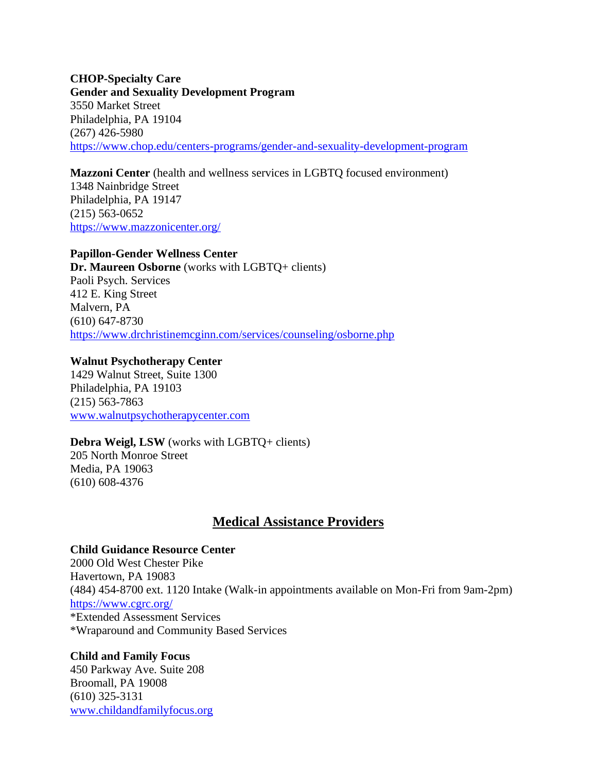**CHOP-Specialty Care Gender and Sexuality Development Program** 3550 Market Street Philadelphia, PA 19104 (267) 426-5980 <https://www.chop.edu/centers-programs/gender-and-sexuality-development-program>

**Mazzoni Center** (health and wellness services in LGBTQ focused environment) 1348 Nainbridge Street Philadelphia, PA 19147 (215) 563-0652 <https://www.mazzonicenter.org/>

#### **Papillon-Gender Wellness Center**

**Dr. Maureen Osborne** (works with LGBTQ+ clients) Paoli Psych. Services 412 E. King Street Malvern, PA (610) 647-8730 <https://www.drchristinemcginn.com/services/counseling/osborne.php>

#### **Walnut Psychotherapy Center**

1429 Walnut Street, Suite 1300 Philadelphia, PA 19103 (215) 563-7863 [www.walnutpsychotherapycenter.com](http://www.walnutpsychotherapycenter.com/)

#### **Debra Weigl, LSW** (works with LGBTQ+ clients) 205 North Monroe Street Media, PA 19063 (610) 608-4376

### **Medical Assistance Providers**

#### **Child Guidance Resource Center**

2000 Old West Chester Pike Havertown, PA 19083 (484) 454-8700 ext. 1120 Intake (Walk-in appointments available on Mon-Fri from 9am-2pm) <https://www.cgrc.org/> \*Extended Assessment Services \*Wraparound and Community Based Services

#### **Child and Family Focus**

450 Parkway Ave. Suite 208 Broomall, PA 19008 (610) 325-3131 [www.childandfamilyfocus.org](http://www.childandfamilyfocus.org/)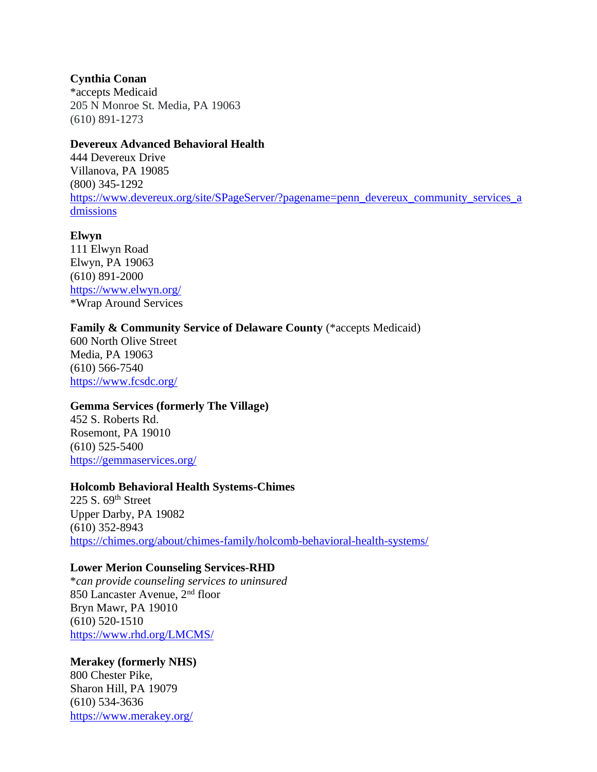#### **Cynthia Conan**

\*accepts Medicaid 205 N Monroe St. Media, PA 19063 (610) 891-1273

#### **Devereux Advanced Behavioral Health**

444 Devereux Drive Villanova, PA 19085 (800) 345-1292 [https://www.devereux.org/site/SPageServer/?pagename=penn\\_devereux\\_community\\_services\\_a](https://www.devereux.org/site/SPageServer/?pagename=penn_devereux_community_services_admissions) [dmissions](https://www.devereux.org/site/SPageServer/?pagename=penn_devereux_community_services_admissions)

#### **Elwyn**

111 Elwyn Road Elwyn, PA 19063 (610) 891-2000 <https://www.elwyn.org/> \*Wrap Around Services

#### Family & Community Service of Delaware County (\*accepts Medicaid)

600 North Olive Street Media, PA 19063 (610) 566-7540 <https://www.fcsdc.org/>

#### **Gemma Services (formerly The Village)**

452 S. Roberts Rd. Rosemont, PA 19010 (610) 525-5400 <https://gemmaservices.org/>

#### **Holcomb Behavioral Health Systems-Chimes**

225 S. 69th Street Upper Darby, PA 19082 (610) 352-8943 <https://chimes.org/about/chimes-family/holcomb-behavioral-health-systems/>

#### **Lower Merion Counseling Services-RHD**

\**can provide counseling services to uninsured* 850 Lancaster Avenue, 2nd floor Bryn Mawr, PA 19010 (610) 520-1510 <https://www.rhd.org/LMCMS/>

#### **Merakey (formerly NHS)**

800 Chester Pike, Sharon Hill, PA 19079 (610) 534-3636 <https://www.merakey.org/>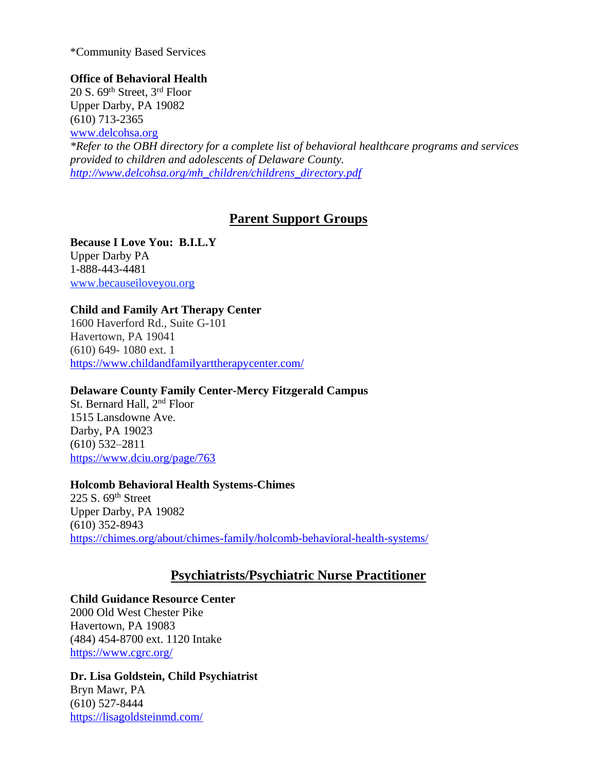\*Community Based Services

#### **Office of Behavioral Health**

20 S. 69th Street, 3rd Floor Upper Darby, PA 19082 (610) 713-2365 [www.delcohsa.org](http://www.delcohsa.org/)

*\*Refer to the OBH directory for a complete list of behavioral healthcare programs and services provided to children and adolescents of Delaware County. [http://www.delcohsa.org/mh\\_children/childrens\\_directory.pdf](http://www.delcohsa.org/mh_children/childrens_directory.pdf)*

# **Parent Support Groups**

**Because I Love You: B.I.L.Y** Upper Darby PA 1-888-443-4481 [www.becauseiloveyou.org](http://www.becauseiloveyou.org/)

#### **Child and Family Art Therapy Center**

1600 Haverford Rd., Suite G-101 Havertown, PA 19041 (610) 649- 1080 ext. 1 <https://www.childandfamilyarttherapycenter.com/>

#### **Delaware County Family Center-Mercy Fitzgerald Campus**

St. Bernard Hall, 2<sup>nd</sup> Floor 1515 Lansdowne Ave. Darby, PA 19023 (610) 532–2811 <https://www.dciu.org/page/763>

#### **Holcomb Behavioral Health Systems-Chimes**

225 S.  $69<sup>th</sup>$  Street Upper Darby, PA 19082 (610) 352-8943 <https://chimes.org/about/chimes-family/holcomb-behavioral-health-systems/>

# **Psychiatrists/Psychiatric Nurse Practitioner**

#### **Child Guidance Resource Center**

2000 Old West Chester Pike Havertown, PA 19083 (484) 454-8700 ext. 1120 Intake <https://www.cgrc.org/>

#### **Dr. Lisa Goldstein, Child Psychiatrist** Bryn Mawr, PA (610) 527-8444

<https://lisagoldsteinmd.com/>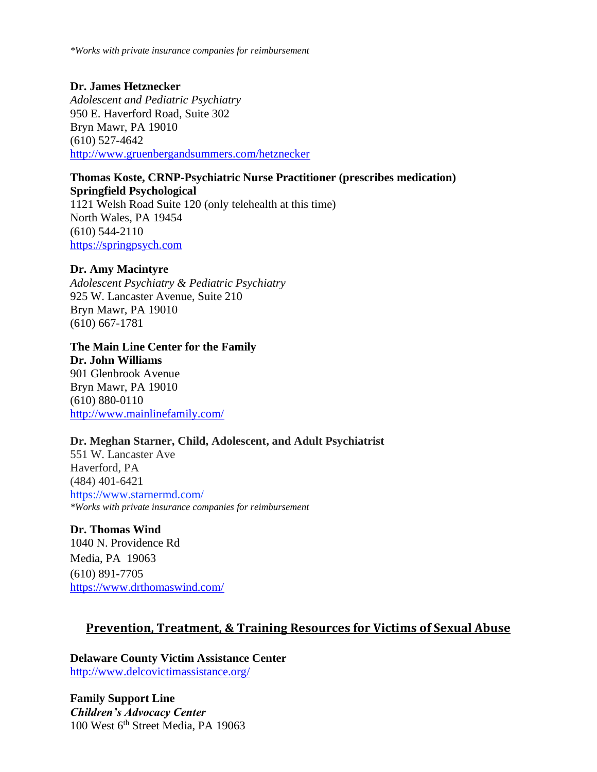*\*Works with private insurance companies for reimbursement*

## **Dr. James Hetznecker**

*Adolescent and Pediatric Psychiatry* 950 E. Haverford Road, Suite 302 Bryn Mawr, PA 19010 (610) 527-4642 <http://www.gruenbergandsummers.com/hetznecker>

#### **Thomas Koste, CRNP-Psychiatric Nurse Practitioner (prescribes medication) Springfield Psychological**

1121 Welsh Road Suite 120 (only telehealth at this time) North Wales, PA 19454 (610) 544-2110 [https://springpsych.com](https://springpsych.com/)

#### **Dr. Amy Macintyre**

*Adolescent Psychiatry & Pediatric Psychiatry* 925 W. Lancaster Avenue, Suite 210 Bryn Mawr, PA 19010 (610) 667-1781

#### **The Main Line Center for the Family**

**Dr. John Williams** 901 Glenbrook Avenue Bryn Mawr, PA 19010 (610) 880-0110 <http://www.mainlinefamily.com/>

#### **Dr. Meghan Starner, Child, Adolescent, and Adult Psychiatrist**

551 W. Lancaster Ave Haverford, PA (484) 401-6421 <https://www.starnermd.com/> *\*Works with private insurance companies for reimbursement*

#### **Dr. Thomas Wind**

1040 N. Providence Rd Media, PA 19063 (610) 891-7705 <https://www.drthomaswind.com/>

#### **Prevention, Treatment, & Training Resources for Victims of Sexual Abuse**

**Delaware County Victim Assistance Center** <http://www.delcovictimassistance.org/>

**Family Support Line** *Children's Advocacy Center* 100 West 6<sup>th</sup> Street Media, PA 19063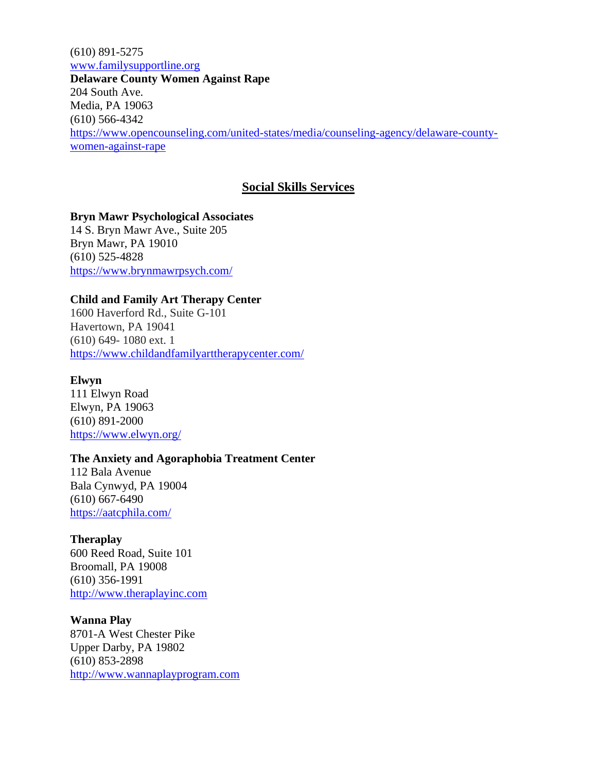(610) 891-5275 [www.familysupportline.org](http://www.familysupportline.org/) **Delaware County Women Against Rape** 204 South Ave. Media, PA 19063 (610) 566-4342 [https://www.opencounseling.com/united-states/media/counseling-agency/delaware-county](https://www.opencounseling.com/united-states/media/counseling-agency/delaware-county-women-against-rape)[women-against-rape](https://www.opencounseling.com/united-states/media/counseling-agency/delaware-county-women-against-rape)

### **Social Skills Services**

**Bryn Mawr Psychological Associates** 14 S. Bryn Mawr Ave., Suite 205 Bryn Mawr, PA 19010 (610) 525-4828 <https://www.brynmawrpsych.com/>

#### **Child and Family Art Therapy Center**

1600 Haverford Rd., Suite G-101 Havertown, PA 19041 (610) 649- 1080 ext. 1 <https://www.childandfamilyarttherapycenter.com/>

#### **Elwyn**

111 Elwyn Road Elwyn, PA 19063 (610) 891-2000 <https://www.elwyn.org/>

#### **The Anxiety and Agoraphobia Treatment Center**

112 Bala Avenue Bala Cynwyd, PA 19004 (610) 667-6490 <https://aatcphila.com/>

#### **Theraplay**

600 Reed Road, Suite 101 Broomall, PA 19008 (610) 356-1991 [http://www.theraplayinc.com](http://www.theraplayinc.com/)

#### **Wanna Play**

8701-A West Chester Pike Upper Darby, PA 19802 (610) 853-2898 [http://www.wannaplayprogram.com](http://www.wannaplayprogram.com/)